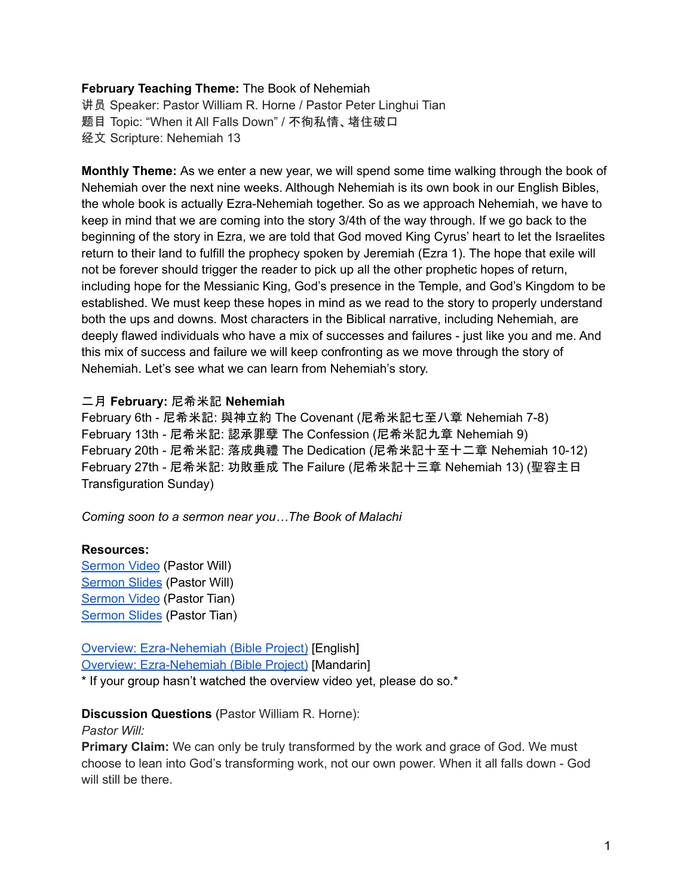### **February Teaching Theme:** The Book of Nehemiah

讲员 Speaker: Pastor William R. Horne / Pastor Peter Linghui Tian 题目 Topic: "When it All Falls Down" / 不徇私情、堵住破口 经文 Scripture: Nehemiah 13

**Monthly Theme:** As we enter a new year, we will spend some time walking through the book of Nehemiah over the next nine weeks. Although Nehemiah is its own book in our English Bibles, the whole book is actually Ezra-Nehemiah together. So as we approach Nehemiah, we have to keep in mind that we are coming into the story 3/4th of the way through. If we go back to the beginning of the story in Ezra, we are told that God moved King Cyrus' heart to let the Israelites return to their land to fulfill the prophecy spoken by Jeremiah (Ezra 1). The hope that exile will not be forever should trigger the reader to pick up all the other prophetic hopes of return, including hope for the Messianic King, God's presence in the Temple, and God's Kingdom to be established. We must keep these hopes in mind as we read to the story to properly understand both the ups and downs. Most characters in the Biblical narrative, including Nehemiah, are deeply flawed individuals who have a mix of successes and failures - just like you and me. And this mix of success and failure we will keep confronting as we move through the story of Nehemiah. Let's see what we can learn from Nehemiah's story.

## 二月 **February:** 尼希米記 **Nehemiah**

February 6th - 尼希米記: 與神立約 The Covenant (尼希米記七至八章 Nehemiah 7-8) February 13th - 尼希米記: 認承罪孽 The Confession (尼希米記九章 Nehemiah 9) February 20th - 尼希米記: 落成典禮 The Dedication (尼希米記十至十二章 Nehemiah 10-12) February 27th - 尼希米記: 功敗垂成 The Failure (尼希米記十三章 Nehemiah 13) (聖容主日 Transfiguration Sunday)

*Coming soon to a sermon near you…The Book of Malachi*

## **Resources:**

**[Sermon](https://www.youtube.com/watch?v=5DREXjs3vps) Video (Pastor Will)** [Sermon](https://docs.google.com/presentation/d/1yHGXd2nBNxgmt-HzCuCXGeCtIhfyO2fFACS1bIpmWyw/edit?usp=sharing) Slides (Pastor Will) [Sermon](https://www.youtube.com/watch?v=XNvQt0Hobw8) Video (Pastor Tian) [Sermon](https://docs.google.com/presentation/d/1fnvT3-p4uqmExgjtvRtX9yo5nzfUUreF/edit?usp=sharing&ouid=111022305003760555164&rtpof=true&sd=true) Slides (Pastor Tian)

Overview: [Ezra-Nehemiah](https://bibleproject.com/explore/video/ezra-nehemiah/) (Bible Project) [English] Overview: [Ezra-Nehemiah](https://www.youtube.com/watch?v=S4pg2h8DOM4&list=PLE-R0uydm0uN0xKD3tw0aheiQojlf1JB1&index=37) (Bible Project) [Mandarin]

\* If your group hasn't watched the overview video yet, please do so.\*

## **Discussion Questions** (Pastor William R. Horne):

#### *Pastor Will:*

**Primary Claim:** We can only be truly transformed by the work and grace of God. We must choose to lean into God's transforming work, not our own power. When it all falls down - God will still be there.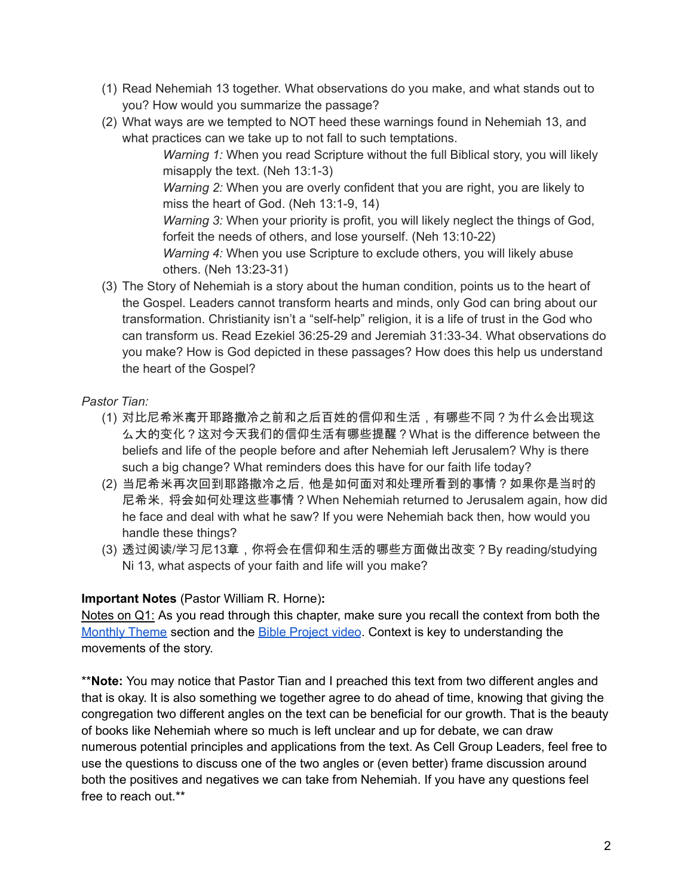- (1) Read Nehemiah 13 together. What observations do you make, and what stands out to you? How would you summarize the passage?
- (2) What ways are we tempted to NOT heed these warnings found in Nehemiah 13, and what practices can we take up to not fall to such temptations.

*Warning 1:* When you read Scripture without the full Biblical story, you will likely misapply the text. (Neh 13:1-3)

*Warning 2:* When you are overly confident that you are right, you are likely to miss the heart of God. (Neh 13:1-9, 14)

*Warning 3:* When your priority is profit, you will likely neglect the things of God, forfeit the needs of others, and lose yourself. (Neh 13:10-22)

*Warning 4:* When you use Scripture to exclude others, you will likely abuse others. (Neh 13:23-31)

(3) The Story of Nehemiah is a story about the human condition, points us to the heart of the Gospel. Leaders cannot transform hearts and minds, only God can bring about our transformation. Christianity isn't a "self-help" religion, it is a life of trust in the God who can transform us. Read Ezekiel 36:25-29 and Jeremiah 31:33-34. What observations do you make? How is God depicted in these passages? How does this help us understand the heart of the Gospel?

# *Pastor Tian:*

- (1) 对比尼希米离开耶路撒冷之前和之后百姓的信仰和生活,有哪些不同?为什么会出现这 么大的变化?这对今天我们的信仰生活有哪些提醒?What is the difference between the beliefs and life of the people before and after Nehemiah left Jerusalem? Why is there such a big change? What reminders does this have for our faith life today?
- (2) 当尼希米再次回到耶路撒冷之后,他是如何面对和处理所看到的事情?如果你是当时的 尼希米,将会如何处理这些事情?When Nehemiah returned to Jerusalem again, how did he face and deal with what he saw? If you were Nehemiah back then, how would you handle these things?
- (3) 透过阅读/学习尼13章,你将会在信仰和生活的哪些方面做出改变?By reading/studying Ni 13, what aspects of your faith and life will you make?

# **Important Notes** (Pastor William R. Horne)**:**

Notes on Q1: As you read through this chapter, make sure you recall the context from both the [Monthly](https://docs.google.com/document/d/1kdIsb1XcIs7gpJh6mmgzNf6Jnqwm4iO9jFQe6U3OtNY/edit#bookmark=id.ldbe2mqdl12r) Theme section and the Bible [Project](https://docs.google.com/document/d/1kdIsb1XcIs7gpJh6mmgzNf6Jnqwm4iO9jFQe6U3OtNY/edit#bookmark=id.d2puhpmovfox) video. Context is key to understanding the movements of the story.

\*\***Note:** You may notice that Pastor Tian and I preached this text from two different angles and that is okay. It is also something we together agree to do ahead of time, knowing that giving the congregation two different angles on the text can be beneficial for our growth. That is the beauty of books like Nehemiah where so much is left unclear and up for debate, we can draw numerous potential principles and applications from the text. As Cell Group Leaders, feel free to use the questions to discuss one of the two angles or (even better) frame discussion around both the positives and negatives we can take from Nehemiah. If you have any questions feel free to reach out.\*\*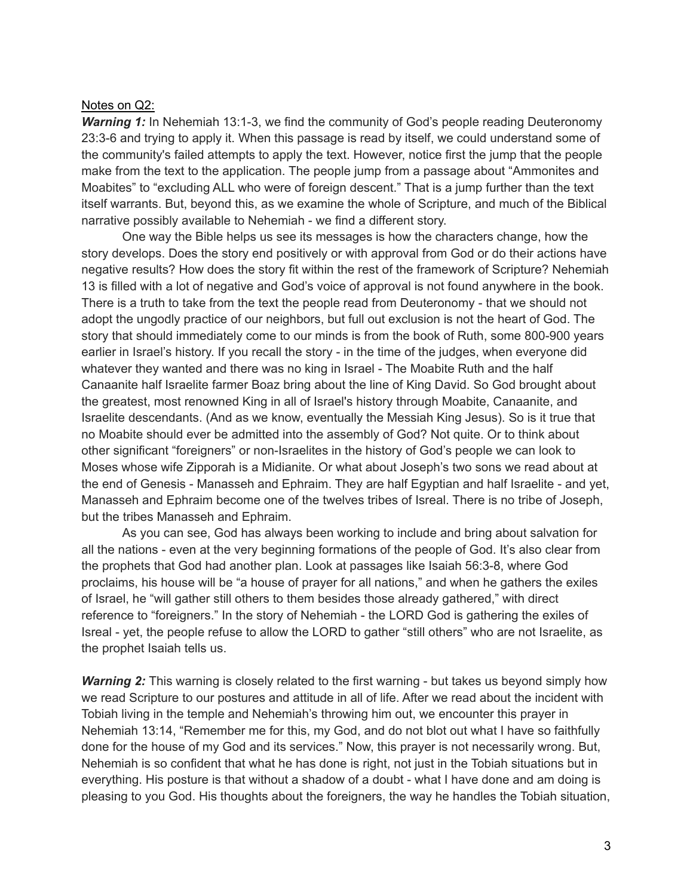#### Notes on Q2:

*Warning* 1: In Nehemiah 13:1-3, we find the community of God's people reading Deuteronomy 23:3-6 and trying to apply it. When this passage is read by itself, we could understand some of the community's failed attempts to apply the text. However, notice first the jump that the people make from the text to the application. The people jump from a passage about "Ammonites and Moabites" to "excluding ALL who were of foreign descent." That is a jump further than the text itself warrants. But, beyond this, as we examine the whole of Scripture, and much of the Biblical narrative possibly available to Nehemiah - we find a different story.

One way the Bible helps us see its messages is how the characters change, how the story develops. Does the story end positively or with approval from God or do their actions have negative results? How does the story fit within the rest of the framework of Scripture? Nehemiah 13 is filled with a lot of negative and God's voice of approval is not found anywhere in the book. There is a truth to take from the text the people read from Deuteronomy - that we should not adopt the ungodly practice of our neighbors, but full out exclusion is not the heart of God. The story that should immediately come to our minds is from the book of Ruth, some 800-900 years earlier in Israel's history. If you recall the story - in the time of the judges, when everyone did whatever they wanted and there was no king in Israel - The Moabite Ruth and the half Canaanite half Israelite farmer Boaz bring about the line of King David. So God brought about the greatest, most renowned King in all of Israel's history through Moabite, Canaanite, and Israelite descendants. (And as we know, eventually the Messiah King Jesus). So is it true that no Moabite should ever be admitted into the assembly of God? Not quite. Or to think about other significant "foreigners" or non-Israelites in the history of God's people we can look to Moses whose wife Zipporah is a Midianite. Or what about Joseph's two sons we read about at the end of Genesis - Manasseh and Ephraim. They are half Egyptian and half Israelite - and yet, Manasseh and Ephraim become one of the twelves tribes of Isreal. There is no tribe of Joseph, but the tribes Manasseh and Ephraim.

As you can see, God has always been working to include and bring about salvation for all the nations - even at the very beginning formations of the people of God. It's also clear from the prophets that God had another plan. Look at passages like Isaiah 56:3-8, where God proclaims, his house will be "a house of prayer for all nations," and when he gathers the exiles of Israel, he "will gather still others to them besides those already gathered," with direct reference to "foreigners." In the story of Nehemiah - the LORD God is gathering the exiles of Isreal - yet, the people refuse to allow the LORD to gather "still others" who are not Israelite, as the prophet Isaiah tells us.

*Warning* 2: This warning is closely related to the first warning - but takes us beyond simply how we read Scripture to our postures and attitude in all of life. After we read about the incident with Tobiah living in the temple and Nehemiah's throwing him out, we encounter this prayer in Nehemiah 13:14, "Remember me for this, my God, and do not blot out what I have so faithfully done for the house of my God and its services." Now, this prayer is not necessarily wrong. But, Nehemiah is so confident that what he has done is right, not just in the Tobiah situations but in everything. His posture is that without a shadow of a doubt - what I have done and am doing is pleasing to you God. His thoughts about the foreigners, the way he handles the Tobiah situation,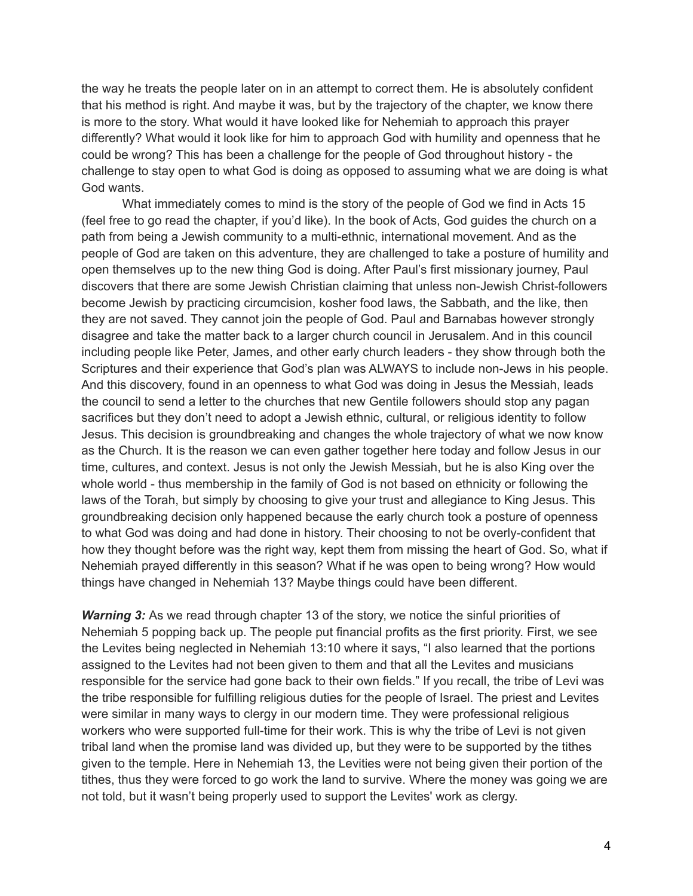the way he treats the people later on in an attempt to correct them. He is absolutely confident that his method is right. And maybe it was, but by the trajectory of the chapter, we know there is more to the story. What would it have looked like for Nehemiah to approach this prayer differently? What would it look like for him to approach God with humility and openness that he could be wrong? This has been a challenge for the people of God throughout history - the challenge to stay open to what God is doing as opposed to assuming what we are doing is what God wants.

What immediately comes to mind is the story of the people of God we find in Acts 15 (feel free to go read the chapter, if you'd like). In the book of Acts, God guides the church on a path from being a Jewish community to a multi-ethnic, international movement. And as the people of God are taken on this adventure, they are challenged to take a posture of humility and open themselves up to the new thing God is doing. After Paul's first missionary journey, Paul discovers that there are some Jewish Christian claiming that unless non-Jewish Christ-followers become Jewish by practicing circumcision, kosher food laws, the Sabbath, and the like, then they are not saved. They cannot join the people of God. Paul and Barnabas however strongly disagree and take the matter back to a larger church council in Jerusalem. And in this council including people like Peter, James, and other early church leaders - they show through both the Scriptures and their experience that God's plan was ALWAYS to include non-Jews in his people. And this discovery, found in an openness to what God was doing in Jesus the Messiah, leads the council to send a letter to the churches that new Gentile followers should stop any pagan sacrifices but they don't need to adopt a Jewish ethnic, cultural, or religious identity to follow Jesus. This decision is groundbreaking and changes the whole trajectory of what we now know as the Church. It is the reason we can even gather together here today and follow Jesus in our time, cultures, and context. Jesus is not only the Jewish Messiah, but he is also King over the whole world - thus membership in the family of God is not based on ethnicity or following the laws of the Torah, but simply by choosing to give your trust and allegiance to King Jesus. This groundbreaking decision only happened because the early church took a posture of openness to what God was doing and had done in history. Their choosing to not be overly-confident that how they thought before was the right way, kept them from missing the heart of God. So, what if Nehemiah prayed differently in this season? What if he was open to being wrong? How would things have changed in Nehemiah 13? Maybe things could have been different.

*Warning 3:* As we read through chapter 13 of the story, we notice the sinful priorities of Nehemiah 5 popping back up. The people put financial profits as the first priority. First, we see the Levites being neglected in Nehemiah 13:10 where it says, "I also learned that the portions assigned to the Levites had not been given to them and that all the Levites and musicians responsible for the service had gone back to their own fields." If you recall, the tribe of Levi was the tribe responsible for fulfilling religious duties for the people of Israel. The priest and Levites were similar in many ways to clergy in our modern time. They were professional religious workers who were supported full-time for their work. This is why the tribe of Levi is not given tribal land when the promise land was divided up, but they were to be supported by the tithes given to the temple. Here in Nehemiah 13, the Levities were not being given their portion of the tithes, thus they were forced to go work the land to survive. Where the money was going we are not told, but it wasn't being properly used to support the Levites' work as clergy.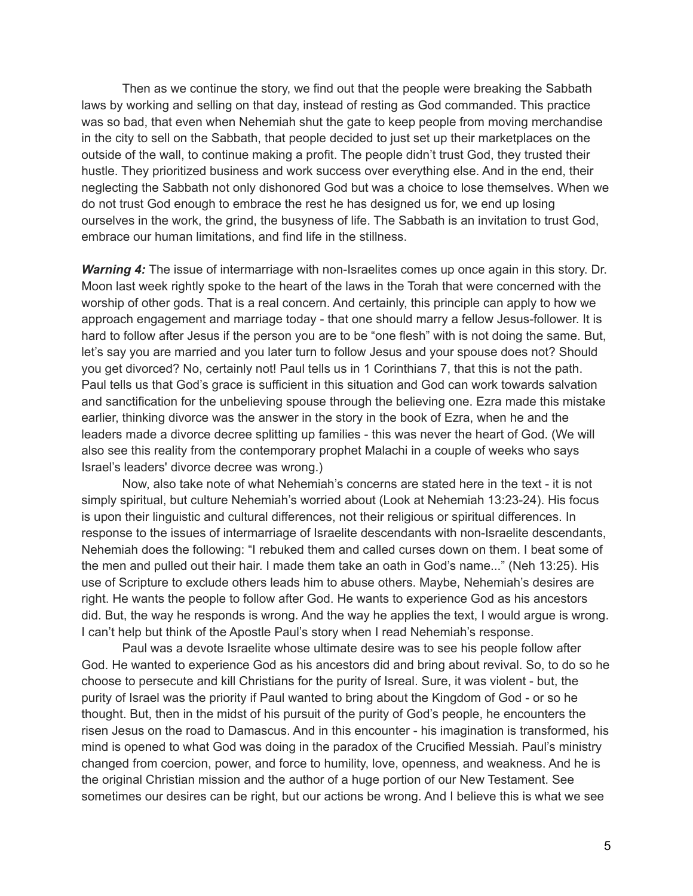Then as we continue the story, we find out that the people were breaking the Sabbath laws by working and selling on that day, instead of resting as God commanded. This practice was so bad, that even when Nehemiah shut the gate to keep people from moving merchandise in the city to sell on the Sabbath, that people decided to just set up their marketplaces on the outside of the wall, to continue making a profit. The people didn't trust God, they trusted their hustle. They prioritized business and work success over everything else. And in the end, their neglecting the Sabbath not only dishonored God but was a choice to lose themselves. When we do not trust God enough to embrace the rest he has designed us for, we end up losing ourselves in the work, the grind, the busyness of life. The Sabbath is an invitation to trust God, embrace our human limitations, and find life in the stillness.

*Warning 4:* The issue of intermarriage with non-Israelites comes up once again in this story. Dr. Moon last week rightly spoke to the heart of the laws in the Torah that were concerned with the worship of other gods. That is a real concern. And certainly, this principle can apply to how we approach engagement and marriage today - that one should marry a fellow Jesus-follower. It is hard to follow after Jesus if the person you are to be "one flesh" with is not doing the same. But, let's say you are married and you later turn to follow Jesus and your spouse does not? Should you get divorced? No, certainly not! Paul tells us in 1 Corinthians 7, that this is not the path. Paul tells us that God's grace is sufficient in this situation and God can work towards salvation and sanctification for the unbelieving spouse through the believing one. Ezra made this mistake earlier, thinking divorce was the answer in the story in the book of Ezra, when he and the leaders made a divorce decree splitting up families - this was never the heart of God. (We will also see this reality from the contemporary prophet Malachi in a couple of weeks who says Israel's leaders' divorce decree was wrong.)

Now, also take note of what Nehemiah's concerns are stated here in the text - it is not simply spiritual, but culture Nehemiah's worried about (Look at Nehemiah 13:23-24). His focus is upon their linguistic and cultural differences, not their religious or spiritual differences. In response to the issues of intermarriage of Israelite descendants with non-Israelite descendants, Nehemiah does the following: "I rebuked them and called curses down on them. I beat some of the men and pulled out their hair. I made them take an oath in God's name..." (Neh 13:25). His use of Scripture to exclude others leads him to abuse others. Maybe, Nehemiah's desires are right. He wants the people to follow after God. He wants to experience God as his ancestors did. But, the way he responds is wrong. And the way he applies the text, I would argue is wrong. I can't help but think of the Apostle Paul's story when I read Nehemiah's response.

Paul was a devote Israelite whose ultimate desire was to see his people follow after God. He wanted to experience God as his ancestors did and bring about revival. So, to do so he choose to persecute and kill Christians for the purity of Isreal. Sure, it was violent - but, the purity of Israel was the priority if Paul wanted to bring about the Kingdom of God - or so he thought. But, then in the midst of his pursuit of the purity of God's people, he encounters the risen Jesus on the road to Damascus. And in this encounter - his imagination is transformed, his mind is opened to what God was doing in the paradox of the Crucified Messiah. Paul's ministry changed from coercion, power, and force to humility, love, openness, and weakness. And he is the original Christian mission and the author of a huge portion of our New Testament. See sometimes our desires can be right, but our actions be wrong. And I believe this is what we see